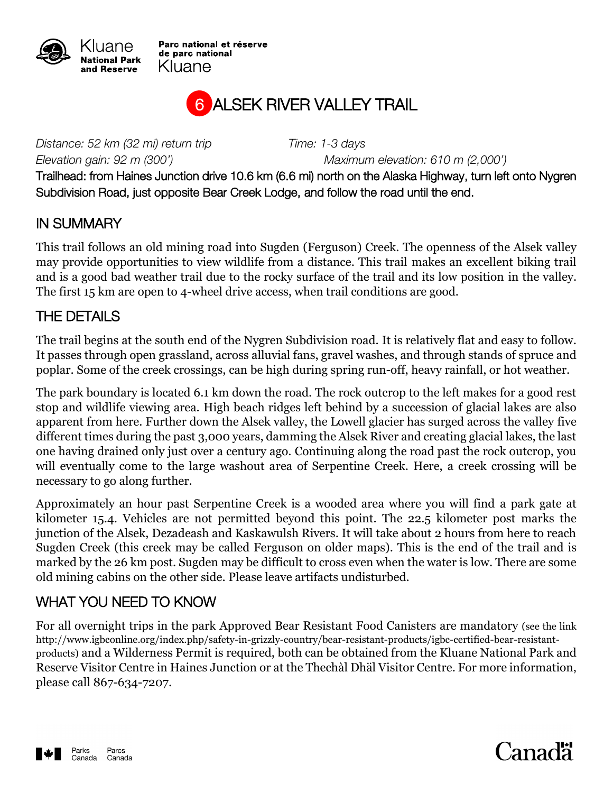

Parc national et réserve de parc national Kluane



*Distance: 52 km (32 mi) return trip Time: 1-3 days*

*Elevation gain: 92 m (300') Maximum elevation: 610 m (2,000')*

Trailhead: from Haines Junction drive 10.6 km (6.6 mi) north on the Alaska Highway, turn left onto Nygren Subdivision Road, just opposite Bear Creek Lodge, and follow the road until the end.

## IN SUMMARY

This trail follows an old mining road into Sugden (Ferguson) Creek. The openness of the Alsek valley may provide opportunities to view wildlife from a distance. This trail makes an excellent biking trail and is a good bad weather trail due to the rocky surface of the trail and its low position in the valley. The first 15 km are open to 4-wheel drive access, when trail conditions are good.

## THE DETAILS

The trail begins at the south end of the Nygren Subdivision road. It is relatively flat and easy to follow. It passes through open grassland, across alluvial fans, gravel washes, and through stands of spruce and poplar. Some of the creek crossings, can be high during spring run-off, heavy rainfall, or hot weather.

The park boundary is located 6.1 km down the road. The rock outcrop to the left makes for a good rest stop and wildlife viewing area. High beach ridges left behind by a succession of glacial lakes are also apparent from here. Further down the Alsek valley, the Lowell glacier has surged across the valley five different times during the past 3,000 years, damming the Alsek River and creating glacial lakes, the last one having drained only just over a century ago. Continuing along the road past the rock outcrop, you will eventually come to the large washout area of Serpentine Creek. Here, a creek crossing will be necessary to go along further.

Approximately an hour past Serpentine Creek is a wooded area where you will find a park gate at kilometer 15.4. Vehicles are not permitted beyond this point. The 22.5 kilometer post marks the junction of the Alsek, Dezadeash and Kaskawulsh Rivers. It will take about 2 hours from here to reach Sugden Creek (this creek may be called Ferguson on older maps). This is the end of the trail and is marked by the 26 km post. Sugden may be difficult to cross even when the water is low. There are some old mining cabins on the other side. Please leave artifacts undisturbed.

## WHAT YOU NEED TO KNOW

For all overnight trips in the park Approved Bear Resistant Food Canisters are mandatory (see the link http://www.igbconline.org/index.php/safety-in-grizzly-country/bear-resistant-products/igbc-certified-bear-resistantproducts) and a Wilderness Permit is required, both can be obtained from the Kluane National Park and Reserve Visitor Centre in Haines Junction or at the Thechàl Dhäl Visitor Centre. For more information, please call 867-634-7207.



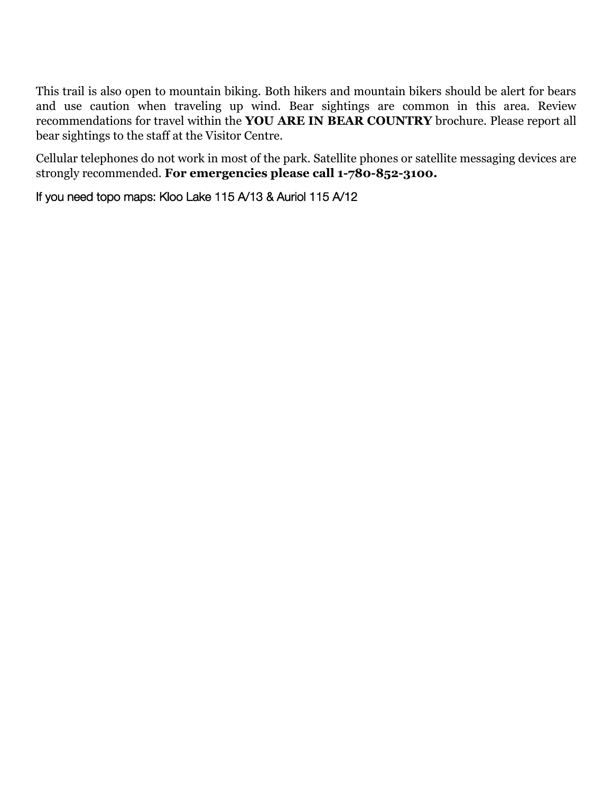This trail is also open to mountain biking. Both hikers and mountain bikers should be alert for bears and use caution when traveling up wind. Bear sightings are common in this area. Review recommendations for travel within the **YOU ARE IN BEAR COUNTRY** brochure. Please report all bear sightings to the staff at the Visitor Centre.

Cellular telephones do not work in most of the park. Satellite phones or satellite messaging devices are strongly recommended. **For emergencies please call 1-780-852-3100.**

If you need topo maps: Kloo Lake 115 A/13 & Auriol 115 A/12